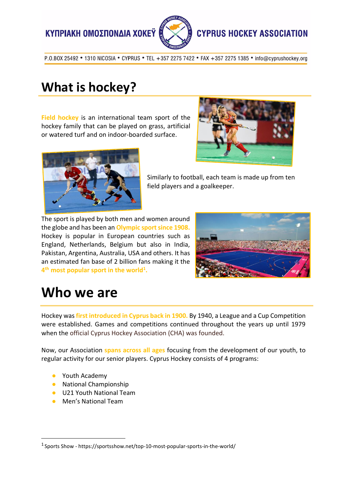ΚΥΠΡΙΑΚΗ ΟΜΟΣΠΟΝΔΙΑ ΧΟΚΕΥ



#### **CYPRUS HOCKEY ASSOCIATION**

P.O.BOX 25492 . 1310 NICOSIA . CYPRUS . TEL +357 2275 7422 . FAX +357 2275 1385 . info@cyprushockey.org

### **What is hockey?**

**Field hockey** is an international team sport of the hockey family that can be played on grass, artificial or watered turf and on indoor-boarded surface.





Similarly to football, each team is made up from ten field players and a goalkeeper.

The sport is played by both men and women around the globe and has been an **Olympic sport since 1908.** Hockey is popular in European countries such as England, Netherlands, Belgium but also in India, Pakistan, Argentina, Australia, USA and others. It has an estimated fan base of 2 billion fans making it the **4 th most popular sport in the world<sup>1</sup> .**



### **Who we are**

Hockey was **first introduced in Cyprus back in 1900.** By 1940, a League and a Cup Competition were established. Games and competitions continued throughout the years up until 1979 when the official Cyprus Hockey Association (CHA) was founded.

Now, our Association **spans across all ages** focusing from the development of our youth, to regular activity for our senior players. Cyprus Hockey consists of 4 programs:

● Youth Academy

 $\overline{a}$ 

- National Championship
- U21 Youth National Team
- Men's National Team

<sup>&</sup>lt;sup>1</sup> Sports Show - https://sportsshow.net/top-10-most-popular-sports-in-the-world/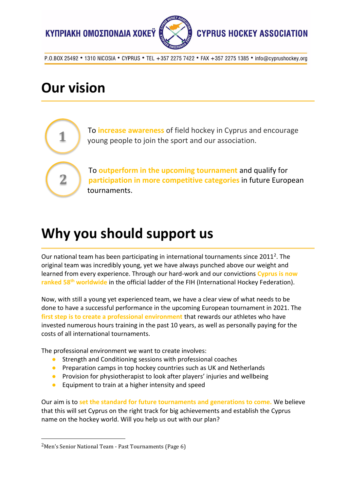



# **Our vision**

**1**

**2**

To **increase awareness** of field hockey in Cyprus and encourage young people to join the sport and our association.

To **outperform in the upcoming tournament** and qualify for **participation in more competitive categories** in future European tournaments.

### **Why you should support us**

Our national team has been participating in international tournaments since 2011<sup>2</sup>. The original team was incredibly young, yet we have always punched above our weight and learned from every experience. Through our hard-work and our convictions **Cyprus is now ranked 58th worldwide** in the official ladder of the FIH (International Hockey Federation).

Now, with still a young yet experienced team, we have a clear view of what needs to be done to have a successful performance in the upcoming European tournament in 2021. The **first step is to create a professional environment** that rewards our athletes who have invested numerous hours training in the past 10 years, as well as personally paying for the costs of all international tournaments.

The professional environment we want to create involves:

- Strength and Conditioning sessions with professional coaches
- Preparation camps in top hockey countries such as UK and Netherlands
- Provision for physiotherapist to look after players' injuries and wellbeing
- Equipment to train at a higher intensity and speed

Our aim is to **set the standard for future tournaments and generations to come.** We believe that this will set Cyprus on the right track for big achievements and establish the Cyprus name on the hockey world. Will you help us out with our plan?

 $\overline{a}$ 

<sup>2</sup>Men's Senior National Team - Past Tournaments (Page 6)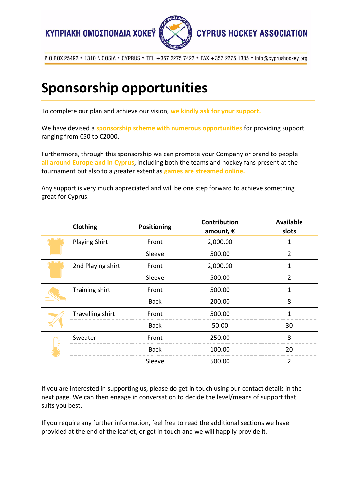



# **Sponsorship opportunities**

To complete our plan and achieve our vision, **we kindly ask for your support.**

We have devised a **sponsorship scheme with numerous opportunities** for providing support ranging from €50 to €2000.

Furthermore, through this sponsorship we can promote your Company or brand to people **all around Europe and in Cyprus**, including both the teams and hockey fans present at the tournament but also to a greater extent as **games are streamed online.**

Any support is very much appreciated and will be one step forward to achieve something great for Cyprus.

|  | Clothing             | Positioning | <b>Contribution</b><br>amount, $\epsilon$ | <b>Available</b><br>slots |
|--|----------------------|-------------|-------------------------------------------|---------------------------|
|  | <b>Playing Shirt</b> | Front       | 2,000.00                                  | 1                         |
|  |                      | Sleeve      | 500.00                                    | $\overline{2}$            |
|  | 2nd Playing shirt    | Front       | 2,000.00                                  | 1                         |
|  |                      | Sleeve      | 500.00                                    | $\overline{2}$            |
|  | Training shirt       | Front       | 500.00                                    | 1                         |
|  |                      | <b>Back</b> | 200.00                                    | 8                         |
|  | Travelling shirt     | Front       | 500.00                                    | 1                         |
|  |                      | <b>Back</b> | 50.00                                     | 30                        |
|  | Sweater              | Front       | 250.00                                    | 8                         |
|  |                      | <b>Back</b> | 100.00                                    | 20                        |
|  |                      | Sleeve      | 500.00                                    | $\overline{2}$            |

If you are interested in supporting us, please do get in touch using our contact details in the next page. We can then engage in conversation to decide the level/means of support that suits you best.

If you require any further information, feel free to read the additional sections we have provided at the end of the leaflet, or get in touch and we will happily provide it.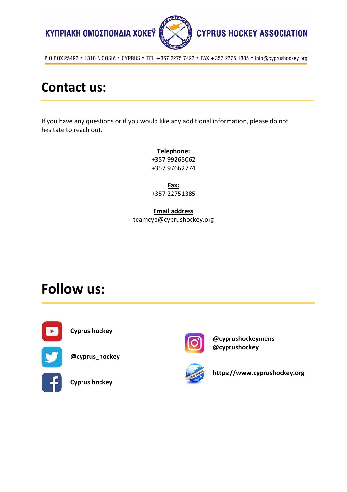

#### **Contact us:**

If you have any questions or if you would like any additional information, please do not hesitate to reach out.

> **Telephone:** +357 99265062 +357 97662774

> **Fax:** +357 22751385

**Email address** teamcyp@cyprushockey.org

### **Follow us:**



**Cyprus hockey**

**@cyprus\_hockey**

**Cyprus hockey**



**@cyprushockeymens @cyprushockey**



**https://www.cyprushockey.org**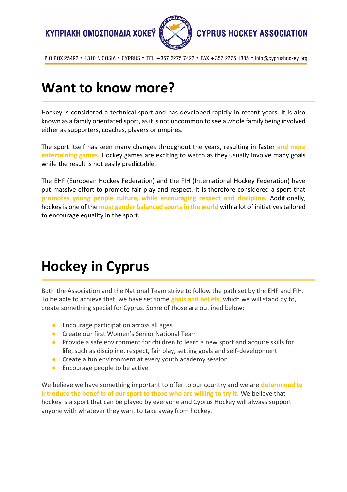



### **Want to know more?**

Hockey is considered a technical sport and has developed rapidly in recent years. It is also known as a family orientated sport, as it is not uncommon to see a whole family being involved either as supporters, coaches, players or umpires.

The sport itself has seen many changes throughout the years, resulting in faster **and more entertaining games.** Hockey games are exciting to watch as they usually involve many goals while the result is not easily predictable.

The EHF (European Hockey Federation) and the FIH (International Hockey Federation) have put massive effort to promote fair play and respect. It is therefore considered a sport that **promotes young people culture, while encouraging respect and discipline.** Additionally, hockey is one of the **most gender balanced sports in the world** with a lot of initiatives tailored to encourage equality in the sport.

# **Hockey in Cyprus**

Both the Association and the National Team strive to follow the path set by the EHF and FIH. To be able to achieve that, we have set some **goals and beliefs**, which we will stand by to, create something special for Cyprus. Some of those are outlined below:

- Encourage participation across all ages
- Create our first Women's Senior National Team
- Provide a safe environment for children to learn a new sport and acquire skills for life, such as discipline, respect, fair play, setting goals and self-development
- Create a fun environment at every youth academy session
- Encourage people to be active

We believe we have something important to offer to our country and we are **determined to introduce the benefits of our sport to those who are willing to try it.** We believe that hockey is a sport that can be played by everyone and Cyprus Hockey will always support anyone with whatever they want to take away from hockey[.](https://www.cyprushockey.org/history)